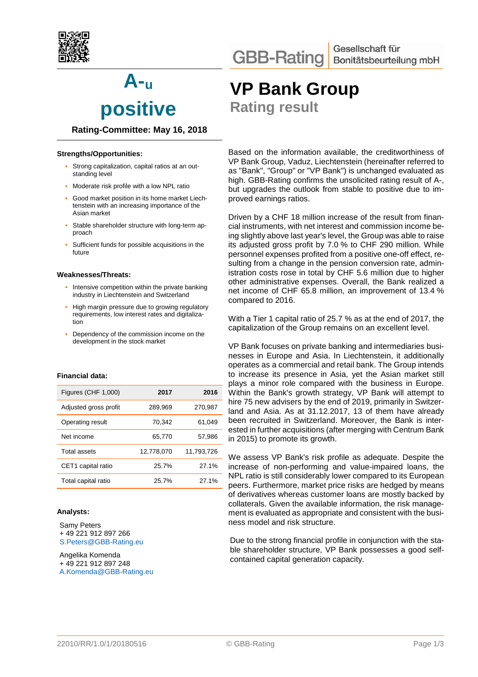

**A-<sup>u</sup> positive** 

# **Rating-Committee: May 16, 2018**

### **Strengths/Opportunities:**

- Strong capitalization, capital ratios at an outstanding level
- Moderate risk profile with a low NPL ratio
- Good market position in its home market Liechtenstein with an increasing importance of the Asian market
- Stable shareholder structure with long-term approach
- Sufficient funds for possible acquisitions in the future

#### **Weaknesses/Threats:**

- Intensive competition within the private banking industry in Liechtenstein and Switzerland
- High margin pressure due to growing regulatory requirements, low interest rates and digitalization
- Dependency of the commission income on the development in the stock market

## **Financial data:**

| Figures (CHF 1,000)   | 2017       | 2016       |
|-----------------------|------------|------------|
| Adjusted gross profit | 289,969    | 270,987    |
| Operating result      | 70,342     | 61,049     |
| Net income            | 65,770     | 57,986     |
| Total assets          | 12,778,070 | 11.793.726 |
| CET1 capital ratio    | 25.7%      | 27.1%      |
| Total capital ratio   | 25.7%      | 27.1%      |

#### **Analysts:**

Samy Peters + 49 221 912 897 266 S.Peters@GBB-Rating.eu

Angelika Komenda + 49 221 912 897 248 A.Komenda@GBB-Rating.eu **VP Bank Group** 

**Rating result**

Based on the information available, the creditworthiness of VP Bank Group, Vaduz, Liechtenstein (hereinafter referred to as "Bank", "Group" or "VP Bank") is unchanged evaluated as high. GBB-Rating confirms the unsolicited rating result of A-, but upgrades the outlook from stable to positive due to improved earnings ratios.

Driven by a CHF 18 million increase of the result from financial instruments, with net interest and commission income being slightly above last year's level, the Group was able to raise its adjusted gross profit by 7.0 % to CHF 290 million. While personnel expenses profited from a positive one-off effect, resulting from a change in the pension conversion rate, administration costs rose in total by CHF 5.6 million due to higher other administrative expenses. Overall, the Bank realized a net income of CHF 65.8 million, an improvement of 13.4 % compared to 2016.

With a Tier 1 capital ratio of 25.7 % as at the end of 2017, the capitalization of the Group remains on an excellent level.

VP Bank focuses on private banking and intermediaries businesses in Europe and Asia. In Liechtenstein, it additionally operates as a commercial and retail bank. The Group intends to increase its presence in Asia, yet the Asian market still plays a minor role compared with the business in Europe. Within the Bank's growth strategy, VP Bank will attempt to hire 75 new advisers by the end of 2019, primarily in Switzerland and Asia. As at 31.12.2017, 13 of them have already been recruited in Switzerland. Moreover, the Bank is interested in further acquisitions (after merging with Centrum Bank in 2015) to promote its growth.

We assess VP Bank's risk profile as adequate. Despite the increase of non-performing and value-impaired loans, the NPL ratio is still considerably lower compared to its European peers. Furthermore, market price risks are hedged by means of derivatives whereas customer loans are mostly backed by collaterals. Given the available information, the risk management is evaluated as appropriate and consistent with the business model and risk structure.

Due to the strong financial profile in conjunction with the stable shareholder structure, VP Bank possesses a good selfcontained capital generation capacity.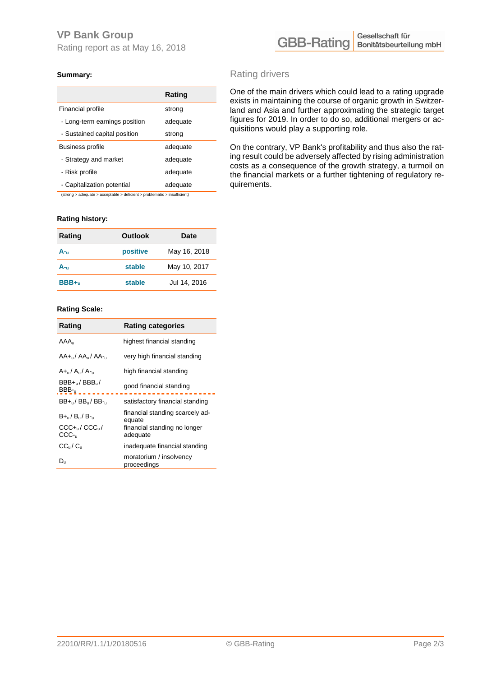# **VP Bank Group**

Rating report as at May 16, 2018



# **Summary:**

|                               | Rating   |
|-------------------------------|----------|
| Financial profile             | strong   |
| - Long-term earnings position | adequate |
| - Sustained capital position  | strong   |
| Business profile              | adequate |
| - Strategy and market         | adequate |
| - Risk profile                | adequate |
| - Capitalization potential    | adequate |

(strong > adequate > acceptable > deficient > problematic > insufficient)

## **Rating history:**

| Rating  | <b>Outlook</b> | Date         |
|---------|----------------|--------------|
| A-      | positive       | May 16, 2018 |
| A-u     | stable         | May 10, 2017 |
| $BBB+u$ | stable         | Jul 14, 2016 |

#### **Rating Scale:**

| Rating                                           | <b>Rating categories</b>                  |  |
|--------------------------------------------------|-------------------------------------------|--|
| AAA                                              | highest financial standing                |  |
| AA+/ AA/ AA-                                     | very high financial standing              |  |
| $A_{\rm in}/A_{\rm u}/A_{\rm in}$                | high financial standing                   |  |
| $BBB+_{u}/BBB_{u}/$<br>$BBB_{u}$                 | good financial standing                   |  |
| $BB+_{\rm U}/BB_{\rm U}/BB-_{\rm U}$             | satisfactory financial standing           |  |
| B+ <sub>u</sub> /B <sub>u</sub> /B- <sub>u</sub> | financial standing scarcely ad-<br>equate |  |
| $CCC + 1/CCC + 1$<br>CCC-                        | financial standing no longer<br>adequate  |  |
| $CC_{u}/C_{u}$                                   | inadequate financial standing             |  |
| $D_{u}$                                          | moratorium / insolvency<br>proceedings    |  |

# Rating drivers

One of the main drivers which could lead to a rating upgrade exists in maintaining the course of organic growth in Switzerland and Asia and further approximating the strategic target figures for 2019. In order to do so, additional mergers or acquisitions would play a supporting role.

On the contrary, VP Bank's profitability and thus also the rating result could be adversely affected by rising administration costs as a consequence of the growth strategy, a turmoil on the financial markets or a further tightening of regulatory requirements.